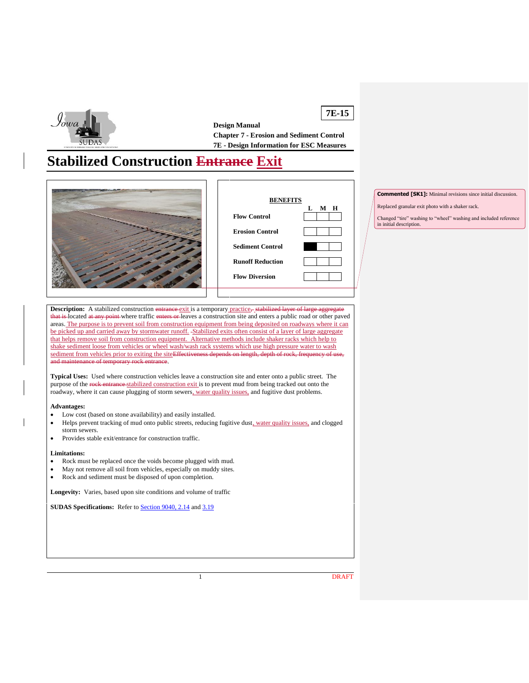

**7E-15 Design Manual Chapter 7 - Erosion and Sediment Control 7E - Design Information for ESC Measures**

# **Stabilized Construction Entrance Exit**





**Commented [SK1]:** Minimal revisions since initial discussion.

Replaced granular exit photo with a shaker rack.

Changed "tire" washing to "wheel" washing and included reference in initial description.

**Description:** A stabilized construction entrance exit is a temporary practice, s that is-located at any point-where traffic enters or leaves a construction site and enters a public road or other paved areas. The purpose is to prevent soil from construction equipment from being deposited on roadways where it can be picked up and carried away by stormwater runoff. Stabilized exits often consist of a layer of large aggregate that helps remove soil from construction equipment. Alternative methods include shaker racks which help to shake sediment loose from vehicles or wheel wash/wash rack systems which use high pressure water to wash sediment from vehicles prior to exiting the siteEffectiveness depends on length, depth of rock, frequency and maintenance of temporary rock entrance.

**Typical Uses:** Used where construction vehicles leave a construction site and enter onto a public street. The purpose of the rock entrance stabilized construction exit is to prevent mud from being tracked out onto the roadway, where it can cause plugging of storm sewers, water quality issues, and fugitive dust problems.

**Advantages:**

- Low cost (based on stone availability) and easily installed.
- Helps prevent tracking of mud onto public streets, reducing fugitive dust, water quality issues, and clogged storm sewers.
- Provides stable exit/entrance for construction traffic.

#### **Limitations:**

- Rock must be replaced once the voids become plugged with mud.
- May not remove all soil from vehicles, especially on muddy sites.
- Rock and sediment must be disposed of upon completion.

**Longevity:** Varies, based upon site conditions and volume of traffic

**SUDAS Specifications:** Refer to **Section 9040, 2.14** and [3.19](https://intrans.iastate.edu/app/uploads/sites/15/2020/02/9040.pdf#page=22)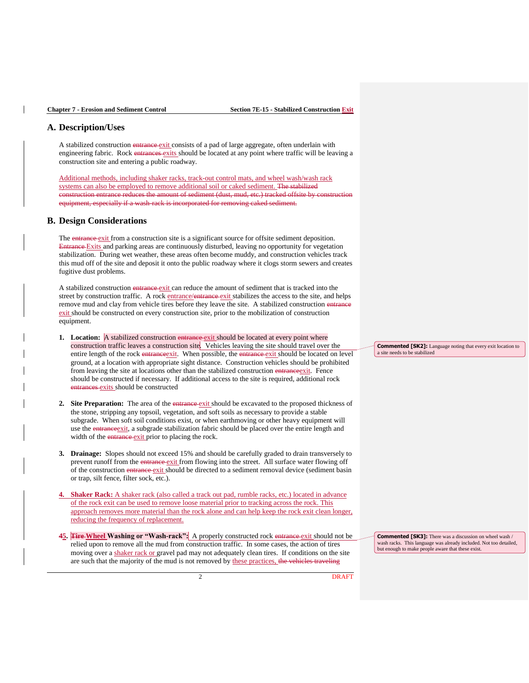## **A. Description/Uses**

A stabilized construction entrance-exit consists of a pad of large aggregate, often underlain with engineering fabric. Rock entrances exits should be located at any point where traffic will be leaving a construction site and entering a public roadway.

Additional methods, including shaker racks, track-out control mats, and wheel wash/wash rack systems can also be employed to remove additional soil or caked sediment. The stabilized nstruction entrance reduces the amount of sediment (dust, mud, etc.) tracked offsite by c equipment, especially if a wash-rack is incorporated for removing caked sediment.

#### **B. Design Considerations**

The entrance exit from a construction site is a significant source for offsite sediment deposition. Entrance Exits and parking areas are continuously disturbed, leaving no opportunity for vegetation stabilization. During wet weather, these areas often become muddy, and construction vehicles track this mud off of the site and deposit it onto the public roadway where it clogs storm sewers and creates fugitive dust problems.

A stabilized construction entrance-exit can reduce the amount of sediment that is tracked into the street by construction traffic. A rock entrance/entrance exit stabilizes the access to the site, and helps remove mud and clay from vehicle tires before they leave the site. A stabilized construction en exit should be constructed on every construction site, prior to the mobilization of construction equipment.

- **1.** Location: A stabilized construction entrance exit should be located at every point where construction traffic leaves a construction site. Vehicles leaving the site should travel over the entire length of the rock entrance exit. When possible, the entrance exit should be located on level ground, at a location with appropriate sight distance. Construction vehicles should be prohibited from leaving the site at locations other than the stabilized construction entranceexit. Fence should be constructed if necessary. If additional access to the site is required, additional rock entrances exits should be constructed
- **2. Site Preparation:** The area of the entrance exit should be excavated to the proposed thickness of the stone, stripping any topsoil, vegetation, and soft soils as necessary to provide a stable subgrade. When soft soil conditions exist, or when earthmoving or other heavy equipment will use the entrance exit, a subgrade stabilization fabric should be placed over the entire length and width of the *entrance* exit prior to placing the rock.
- **3. Drainage:** Slopes should not exceed 15% and should be carefully graded to drain transversely to prevent runoff from the entrance exit from flowing into the street. All surface water flowing off of the construction entrance exit should be directed to a sediment removal device (sediment basin or trap, silt fence, filter sock, etc.).
- **4. Shaker Rack:** A shaker rack (also called a track out pad, rumble racks, etc.) located in advance of the rock exit can be used to remove loose material prior to tracking across the rock. This approach removes more material than the rock alone and can help keep the rock exit clean longer, reducing the frequency of replacement.
- **45. Tire Wheel Washing or "Wash-rack":** A properly constructed rock entrance exit should not be relied upon to remove all the mud from construction traffic. In some cases, the action of tires moving over a shaker rack or gravel pad may not adequately clean tires. If conditions on the site are such that the majority of the mud is not removed by these practices, the vehicles traveling

**Commented [SK2]:** Language noting that every exit location to a site needs to be stabilized

**Commented [SK3]:** There was a discussion on wheel wash / wash racks. This language was already included. Not too detailed, but enough to make people aware that these exist.